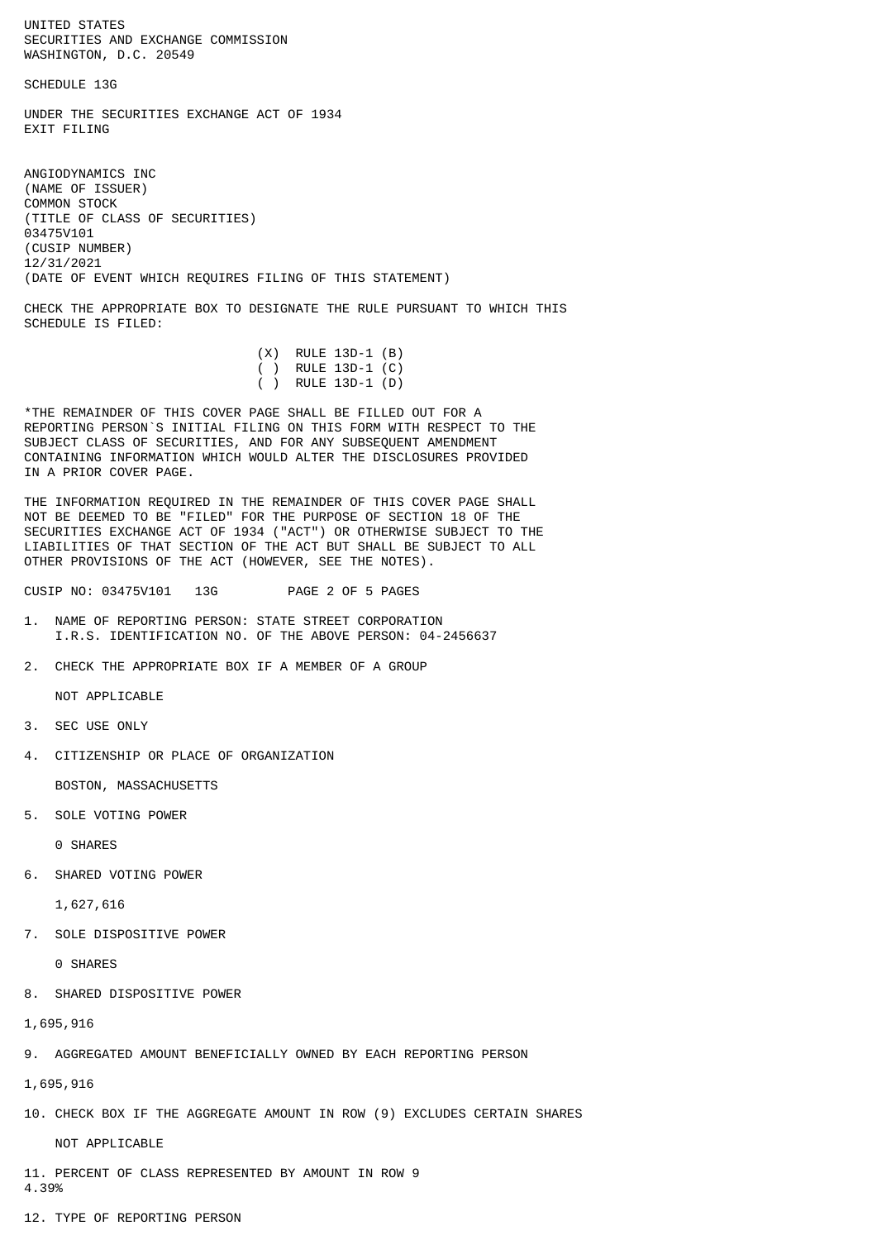UNITED STATES SECURITIES AND EXCHANGE COMMISSION WASHINGTON, D.C. 20549

SCHEDULE 13G

UNDER THE SECURITIES EXCHANGE ACT OF 1934 **EXTT FTLTNG** 

ANGIODYNAMICS INC (NAME OF ISSUER) COMMON STOCK (TITLE OF CLASS OF SECURITIES) 03475V101 (CUSIP NUMBER) 12/31/2021 (DATE OF EVENT WHICH REQUIRES FILING OF THIS STATEMENT)

CHECK THE APPROPRIATE BOX TO DESIGNATE THE RULE PURSUANT TO WHICH THIS SCHEDULE IS FILED:

| $(X)$ RULE 13D-1 $(B)$ |
|------------------------|
| ( ) RULE 13D-1 $(C)$   |
| ( ) RULE 13D-1 (D)     |
|                        |

\*THE REMAINDER OF THIS COVER PAGE SHALL BE FILLED OUT FOR A REPORTING PERSON`S INITIAL FILING ON THIS FORM WITH RESPECT TO THE SUBJECT CLASS OF SECURITIES, AND FOR ANY SUBSEQUENT AMENDMENT CONTAINING INFORMATION WHICH WOULD ALTER THE DISCLOSURES PROVIDED IN A PRIOR COVER PAGE.

THE INFORMATION REQUIRED IN THE REMAINDER OF THIS COVER PAGE SHALL NOT BE DEEMED TO BE "FILED" FOR THE PURPOSE OF SECTION 18 OF THE SECURITIES EXCHANGE ACT OF 1934 ("ACT") OR OTHERWISE SUBJECT TO THE LIABILITIES OF THAT SECTION OF THE ACT BUT SHALL BE SUBJECT TO ALL OTHER PROVISIONS OF THE ACT (HOWEVER, SEE THE NOTES).

CUSIP NO: 03475V101 13G PAGE 2 OF 5 PAGES

- 1. NAME OF REPORTING PERSON: STATE STREET CORPORATION I.R.S. IDENTIFICATION NO. OF THE ABOVE PERSON: 04-2456637
- 2. CHECK THE APPROPRIATE BOX IF A MEMBER OF A GROUP

NOT APPLICABLE

- 3. SEC USE ONLY
- 4. CITIZENSHIP OR PLACE OF ORGANIZATION

BOSTON, MASSACHUSETTS

5. SOLE VOTING POWER

0 SHARES

6. SHARED VOTING POWER

1,627,616

7. SOLE DISPOSITIVE POWER

0 SHARES

8. SHARED DISPOSITIVE POWER

1,695,916

9. AGGREGATED AMOUNT BENEFICIALLY OWNED BY EACH REPORTING PERSON

1,695,916

10. CHECK BOX IF THE AGGREGATE AMOUNT IN ROW (9) EXCLUDES CERTAIN SHARES

NOT APPLICABLE

11. PERCENT OF CLASS REPRESENTED BY AMOUNT IN ROW 9 4.39%

12. TYPE OF REPORTING PERSON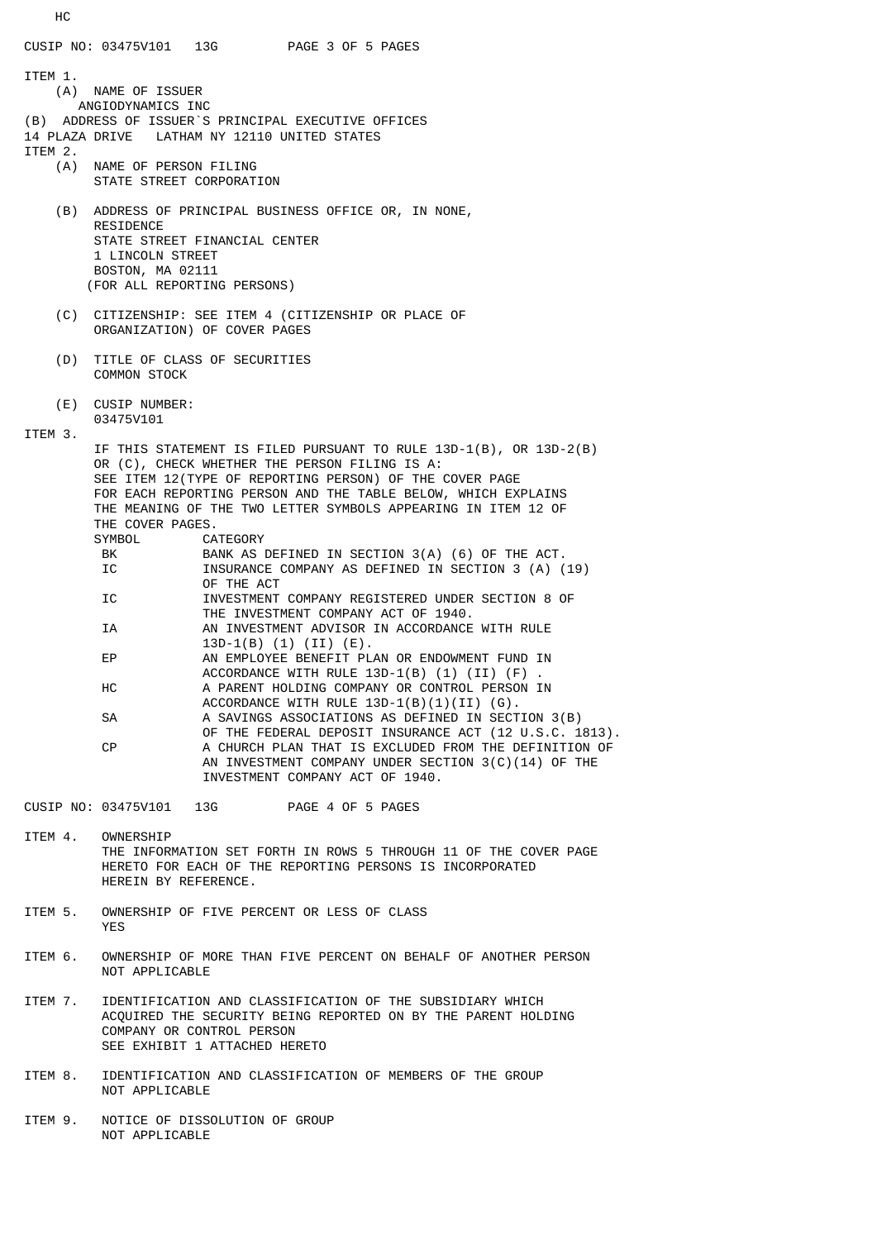CUSIP NO: 03475V101 13G PAGE 3 OF 5 PAGES ITEM 1. (A) NAME OF ISSUER ANGIODYNAMICS INC (B) ADDRESS OF ISSUER`S PRINCIPAL EXECUTIVE OFFICES 14 PLAZA DRIVE LATHAM NY 12110 UNITED STATES ITEM 2.<br>(A) NAME OF PERSON FILING STATE STREET CORPORATION (B) ADDRESS OF PRINCIPAL BUSINESS OFFICE OR, IN NONE, RESIDENCE STATE STREET FINANCIAL CENTER 1 LINCOLN STREET BOSTON, MA 02111 (FOR ALL REPORTING PERSONS) (C) CITIZENSHIP: SEE ITEM 4 (CITIZENSHIP OR PLACE OF ORGANIZATION) OF COVER PAGES (D) TITLE OF CLASS OF SECURITIES COMMON STOCK (E) CUSIP NUMBER: 03475V101 ITEM 3. IF THIS STATEMENT IS FILED PURSUANT TO RULE 13D-1(B), OR 13D-2(B) OR (C), CHECK WHETHER THE PERSON FILING IS A: SEE ITEM 12(TYPE OF REPORTING PERSON) OF THE COVER PAGE FOR EACH REPORTING PERSON AND THE TABLE BELOW, WHICH EXPLAINS THE MEANING OF THE TWO LETTER SYMBOLS APPEARING IN ITEM 12 OF THE COVER PAGES. SYMBOL CATEGORY<br>BK BANKAS BANK AS DEFINED IN SECTION 3(A) (6) OF THE ACT. IC **INSURANCE COMPANY AS DEFINED IN SECTION 3 (A) (19)**  OF THE ACT IC INVESTMENT COMPANY REGISTERED UNDER SECTION 8 OF THE INVESTMENT COMPANY ACT OF 1940. IA AN INVESTMENT ADVISOR IN ACCORDANCE WITH RULE 13D-1(B) (1) (II) (E).<br>EP AN EMPLOYEE BENEFIT PL AN EMPLOYEE BENEFIT PLAN OR ENDOWMENT FUND IN ACCORDANCE WITH RULE  $13D-1(B)$  (1) (II) (F) HC A PARENT HOLDING COMPANY OR CONTROL PERSON IN ACCORDANCE WITH RULE 13D-1(B)(1)(II) (G). SA A SAVINGS ASSOCIATIONS AS DEFINED IN SECTION 3(B) OF THE FEDERAL DEPOSIT INSURANCE ACT (12 U.S.C. 1813).<br>A CHURCH PLAN THAT IS EXCLUDED FROM THE DEFINITION OF A CHURCH PLAN THAT IS EXCLUDED FROM THE DEFINITION OF AN INVESTMENT COMPANY UNDER SECTION 3(C)(14) OF THE INVESTMENT COMPANY ACT OF 1940. CUSIP NO: 03475V101 13G PAGE 4 OF 5 PAGES ITEM 4. OWNERSHIP THE INFORMATION SET FORTH IN ROWS 5 THROUGH 11 OF THE COVER PAGE HERETO FOR EACH OF THE REPORTING PERSONS IS INCORPORATED

- HEREIN BY REFERENCE. ITEM 5. OWNERSHIP OF FIVE PERCENT OR LESS OF CLASS
- YES
- ITEM 6. OWNERSHIP OF MORE THAN FIVE PERCENT ON BEHALF OF ANOTHER PERSON NOT APPLICABLE
- ITEM 7. IDENTIFICATION AND CLASSIFICATION OF THE SUBSIDIARY WHICH ACQUIRED THE SECURITY BEING REPORTED ON BY THE PARENT HOLDING COMPANY OR CONTROL PERSON SEE EXHIBIT 1 ATTACHED HERETO
- ITEM 8. IDENTIFICATION AND CLASSIFICATION OF MEMBERS OF THE GROUP NOT APPLICABLE
- ITEM 9. NOTICE OF DISSOLUTION OF GROUP NOT APPLICABLE

HC